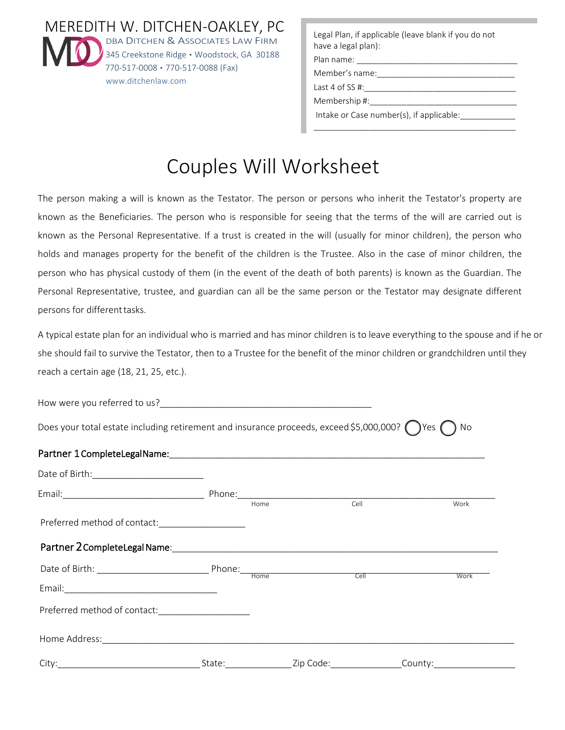MEREDITH W. DITCHEN-OAKLEY, PC DBA DITCHEN & ASSOCIATES LAW FIRM 345 Creekstone Ridge · Woodstock, GA 30188 770-517-0008 ▪ 770-517-0088 (Fax) www.ditchenlaw.com

Legal Plan, if applicable (leave blank if you do not have a legal plan):

\_\_\_\_\_\_\_\_\_\_\_\_\_\_\_\_\_\_\_\_\_\_\_\_\_\_\_\_\_\_\_\_\_\_\_\_\_\_\_\_\_\_\_\_

Plan name: Member's name:

Last 4 of SS #:

Membership #:

Intake or Case number(s), if applicable:

# Couples Will Worksheet

The person making a will is known as the Testator. The person or persons who inherit the Testator's property are known as the Beneficiaries. The person who is responsible for seeing that the terms of the will are carried out is known as the Personal Representative. If a trust is created in the will (usually for minor children), the person who holds and manages property for the benefit of the children is the Trustee. Also in the case of minor children, the person who has physical custody of them (in the event of the death of both parents) is known as the Guardian. The Personal Representative, trustee, and guardian can all be the same person or the Testator may designate different persons for different tasks.

A typical estate plan for an individual who is married and has minor children is to leave everything to the spouse and if he or she should fail to survive the Testator, then to a Trustee for the benefit of the minor children or grandchildren until they reach a certain age (18, 21, 25, etc.).

How were you referred to us?

Does your total estate including retirement and insurance proceeds, exceed \$5,000,000?  $\bigcap$  Yes  $\bigcap$  No

#### Partner 1 Complete Legal Name:

|                                                  |        | Home |                            | Cell |         | Work |
|--------------------------------------------------|--------|------|----------------------------|------|---------|------|
| Preferred method of contact:____________________ |        |      |                            |      |         |      |
|                                                  |        |      |                            |      |         |      |
|                                                  |        |      |                            |      |         | Work |
|                                                  |        |      |                            |      |         |      |
| Preferred method of contact:                     |        |      |                            |      |         |      |
|                                                  |        |      |                            |      |         |      |
|                                                  | State: |      | <b>Example 2</b> Zip Code: |      | County: |      |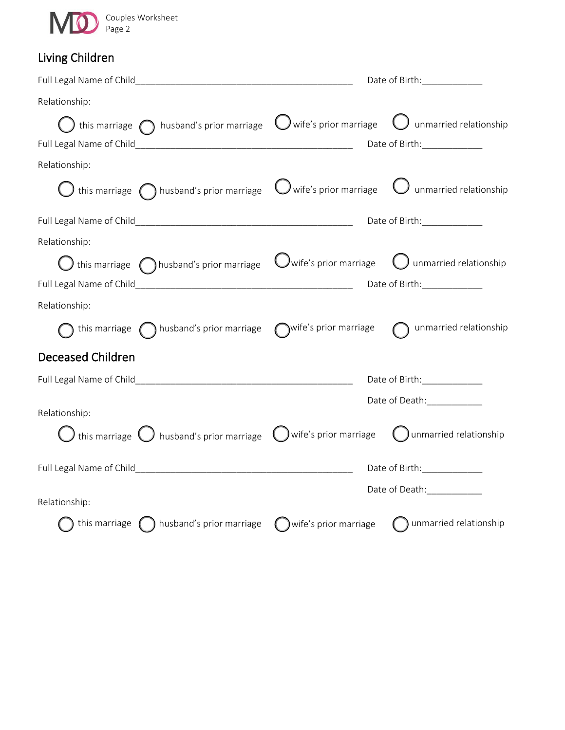

# Living Children

|                                                                                                                                         | Date of Birth: _____________ |
|-----------------------------------------------------------------------------------------------------------------------------------------|------------------------------|
| Relationship:                                                                                                                           |                              |
| $\bigcup$ this marriage $\bigodot$ husband's prior marriage $\;\bigcup$ wife's prior marriage $\;\bigodot$ unmarried relationship       |                              |
|                                                                                                                                         |                              |
| Relationship:                                                                                                                           |                              |
| $\bigcirc$ this marriage $\bigcirc$ husband's prior marriage $\;\bigcirc$ wife's prior marriage $\;\bigcirc$ unmarried relationship     |                              |
|                                                                                                                                         |                              |
| Relationship:                                                                                                                           |                              |
| $\bigcirc$ this marriage $\bigcirc$ husband's prior marriage $\;\;\bigcirc$ wife's prior marriage $\;\;\bigcirc$ unmarried relationship |                              |
|                                                                                                                                         |                              |
| Relationship:                                                                                                                           |                              |
| ) this marriage $\bigcap$ husband's prior marriage $\bigcirc$ wife's prior marriage $\bigcirc$                                          | unmarried relationship       |
| Deceased Children                                                                                                                       |                              |
|                                                                                                                                         | Date of Birth: _____________ |
| Relationship:                                                                                                                           | Date of Death:_____________  |
| $\bigcup$ this marriage $\bigcup$ husband's prior marriage $\;\bigcup$ wife's prior marriage $\;\;\bigcup$ unmarried relationship       |                              |
|                                                                                                                                         | Date of Birth:______________ |
| Relationship:                                                                                                                           | Date of Death: ___________   |
|                                                                                                                                         |                              |
| $\bigcap$ this marriage $\bigcap$ husband's prior marriage $\bigcap$ wife's prior marriage                                              | (C) unmarried relationship   |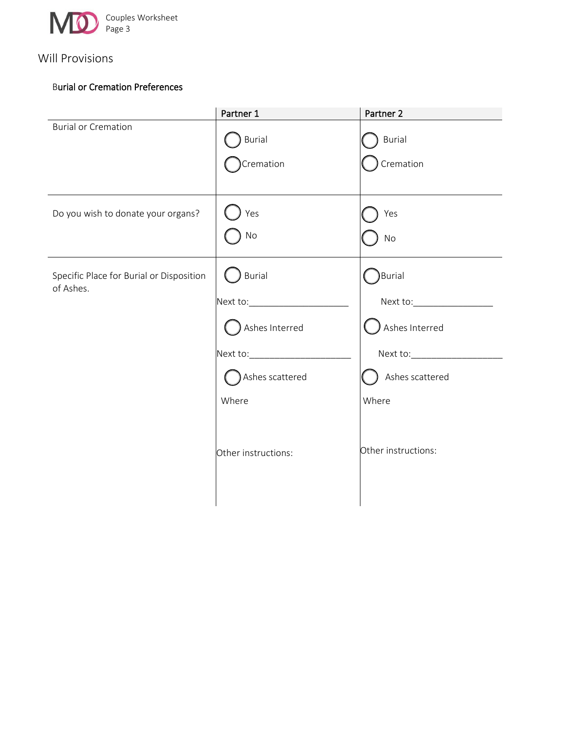

## Will Provisions

### Burial or Cremation Preferences

|                                                       | Partner 1                                                                                                       | Partner 2                                                                   |
|-------------------------------------------------------|-----------------------------------------------------------------------------------------------------------------|-----------------------------------------------------------------------------|
| <b>Burial or Cremation</b>                            | Burial<br>Cremation                                                                                             | Burial<br>Cremation                                                         |
| Do you wish to donate your organs?                    | Yes<br>No                                                                                                       | Yes<br>No                                                                   |
| Specific Place for Burial or Disposition<br>of Ashes. | Burial<br>Ashes Interred<br>Next to:________________________<br>Ashes scattered<br>Where<br>Other instructions: | Burial<br>Ashes Interred<br>Ashes scattered<br>Where<br>Other instructions: |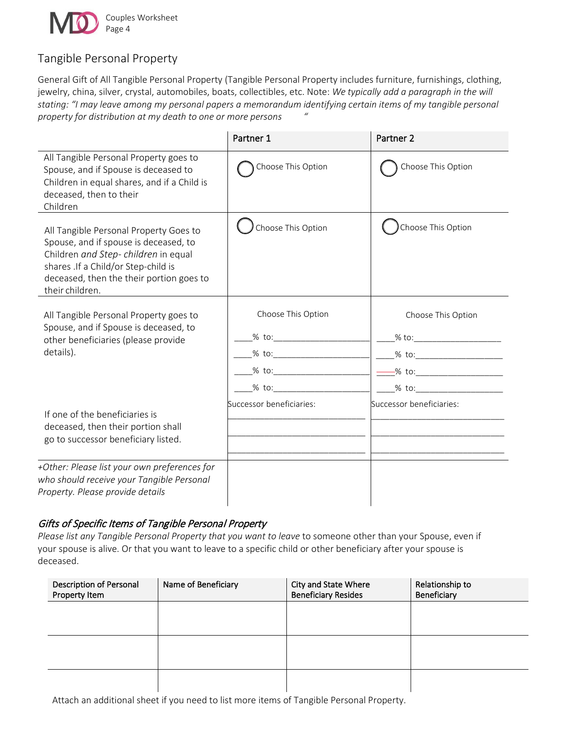

## Tangible Personal Property

General Gift of All Tangible Personal Property (Tangible Personal Property includes furniture, furnishings, clothing, jewelry, china, silver, crystal, automobiles, boats, collectibles, etc. Note: *We typically add a paragraph in the will stating: "I may leave among my personal papers a memorandum identifying certain items of my tangible personal property for distribution at my death to one or more persons "*

|                                                                                                                                                                                                                              | Partner 1                                 | Partner <sub>2</sub>                                 |
|------------------------------------------------------------------------------------------------------------------------------------------------------------------------------------------------------------------------------|-------------------------------------------|------------------------------------------------------|
| All Tangible Personal Property goes to<br>Spouse, and if Spouse is deceased to<br>Children in equal shares, and if a Child is<br>deceased, then to their<br>Children                                                         | Choose This Option                        | Choose This Option                                   |
| All Tangible Personal Property Goes to<br>Spouse, and if spouse is deceased, to<br>Children and Step-children in equal<br>shares .If a Child/or Step-child is<br>deceased, then the their portion goes to<br>their children. | Choose This Option                        | Choose This Option                                   |
| All Tangible Personal Property goes to<br>Spouse, and if Spouse is deceased, to<br>other beneficiaries (please provide<br>details).                                                                                          | Choose This Option<br>$%$ to:<br>$\%$ to: | Choose This Option<br>$\frac{1}{2}$ % to:<br>$%$ to: |
| If one of the beneficiaries is<br>deceased, then their portion shall<br>go to successor beneficiary listed.                                                                                                                  | Successor beneficiaries:                  | Successor beneficiaries:                             |
| +Other: Please list your own preferences for<br>who should receive your Tangible Personal<br>Property. Please provide details                                                                                                |                                           |                                                      |

## Gifts of Specific Items of Tangible Personal Property

*Please list any Tangible Personal Property that you want to leave* to someone other than your Spouse, even if your spouse is alive. Or that you want to leave to a specific child or other beneficiary after your spouse is deceased.

| Description of Personal<br>Property Item | Name of Beneficiary | City and State Where<br><b>Beneficiary Resides</b> | Relationship to<br>Beneficiary |
|------------------------------------------|---------------------|----------------------------------------------------|--------------------------------|
|                                          |                     |                                                    |                                |
|                                          |                     |                                                    |                                |
|                                          |                     |                                                    |                                |
|                                          |                     |                                                    |                                |

Attach an additional sheet if you need to list more items of Tangible Personal Property.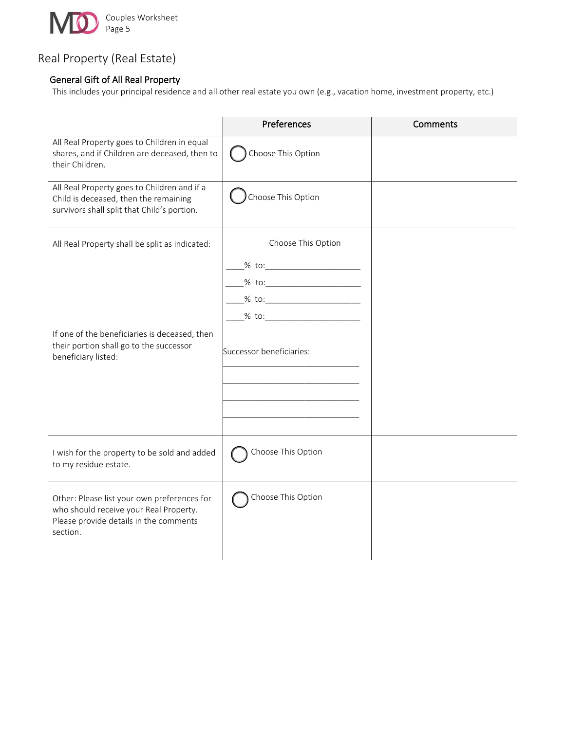

## Real Property (Real Estate)

## General Gift of All Real Property

This includes your principal residence and all other real estate you own (e.g., vacation home, investment property, etc.)

|                                                                                                                                             | Preferences                                                                                                                    | Comments |
|---------------------------------------------------------------------------------------------------------------------------------------------|--------------------------------------------------------------------------------------------------------------------------------|----------|
| All Real Property goes to Children in equal<br>shares, and if Children are deceased, then to<br>their Children.                             | Choose This Option                                                                                                             |          |
| All Real Property goes to Children and if a<br>Child is deceased, then the remaining<br>survivors shall split that Child's portion.         | Choose This Option                                                                                                             |          |
| All Real Property shall be split as indicated:                                                                                              | Choose This Option                                                                                                             |          |
| If one of the beneficiaries is deceased, then<br>their portion shall go to the successor<br>beneficiary listed:                             | _% to:___________________________<br>_% to:____________________________<br>% to: $\sim$<br>$%$ to:<br>Successor beneficiaries: |          |
| I wish for the property to be sold and added<br>to my residue estate.                                                                       | Choose This Option                                                                                                             |          |
| Other: Please list your own preferences for<br>who should receive your Real Property.<br>Please provide details in the comments<br>section. | Choose This Option                                                                                                             |          |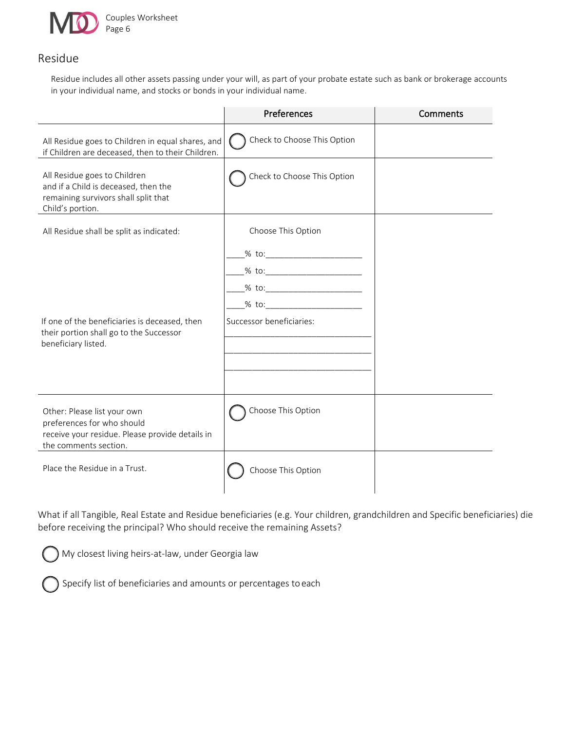

## Residue

Residue includes all other assets passing under your will, as part of your probate estate such as bank or brokerage accounts in your individual name, and stocks or bonds in your individual name.

|                                                                                                                                       | Preferences                                                                                                                                        | Comments |
|---------------------------------------------------------------------------------------------------------------------------------------|----------------------------------------------------------------------------------------------------------------------------------------------------|----------|
| All Residue goes to Children in equal shares, and<br>if Children are deceased, then to their Children.                                | Check to Choose This Option                                                                                                                        |          |
| All Residue goes to Children<br>and if a Child is deceased, then the<br>remaining survivors shall split that<br>Child's portion.      | Check to Choose This Option                                                                                                                        |          |
| All Residue shall be split as indicated:                                                                                              | Choose This Option                                                                                                                                 |          |
| If one of the beneficiaries is deceased, then<br>their portion shall go to the Successor<br>beneficiary listed.                       | _% to:__________________________<br>_% to:____________________________<br>__% to:__________________________<br>$%$ to:<br>Successor beneficiaries: |          |
| Other: Please list your own<br>preferences for who should<br>receive your residue. Please provide details in<br>the comments section. | Choose This Option                                                                                                                                 |          |
| Place the Residue in a Trust.                                                                                                         | Choose This Option                                                                                                                                 |          |

What if all Tangible, Real Estate and Residue beneficiaries (e.g. Your children, grandchildren and Specific beneficiaries) die before receiving the principal? Who should receive the remaining Assets?

My closest living heirs-at-law, under Georgia law

Specify list of beneficiaries and amounts or percentages toeach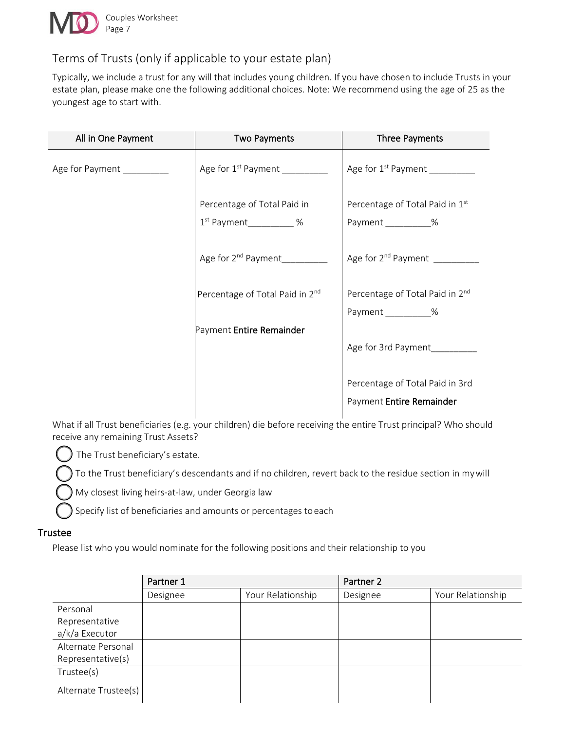

## Terms of Trusts (only if applicable to your estate plan)

Typically, we include a trust for any will that includes young children. If you have chosen to include Trusts in your estate plan, please make one the following additional choices. Note: We recommend using the age of 25 as the youngest age to start with.

| All in One Payment         | <b>Two Payments</b>             | <b>Three Payments</b>                                       |
|----------------------------|---------------------------------|-------------------------------------------------------------|
| Age for Payment __________ |                                 | Age for 1 <sup>st</sup> Payment                             |
|                            | Percentage of Total Paid in     | Percentage of Total Paid in 1st                             |
|                            | $1st$ Payment ____________ %    | Payment__________%                                          |
|                            | Age for 2 <sup>nd</sup> Payment | Age for 2 <sup>nd</sup> Payment                             |
|                            | Percentage of Total Paid in 2nd | Percentage of Total Paid in 2nd                             |
|                            |                                 | Payment %                                                   |
|                            | Payment Entire Remainder        |                                                             |
|                            |                                 | Age for 3rd Payment                                         |
|                            |                                 | Percentage of Total Paid in 3rd<br>Payment Entire Remainder |

What if all Trust beneficiaries (e.g. your children) die before receiving the entire Trust principal? Who should receive any remaining Trust Assets?

The Trust beneficiary's estate.

To the Trust beneficiary's descendants and if no children, revert back to the residue section in mywill

My closest living heirs-at-law, under Georgia law

Specify list of beneficiaries and amounts or percentages toeach

#### **Trustee**

Please list who you would nominate for the following positions and their relationship to you

|                      | Partner 1 |                   | Partner 2 |                   |
|----------------------|-----------|-------------------|-----------|-------------------|
|                      | Designee  | Your Relationship | Designee  | Your Relationship |
| Personal             |           |                   |           |                   |
| Representative       |           |                   |           |                   |
| a/k/a Executor       |           |                   |           |                   |
| Alternate Personal   |           |                   |           |                   |
| Representative(s)    |           |                   |           |                   |
| Trustee(s)           |           |                   |           |                   |
| Alternate Trustee(s) |           |                   |           |                   |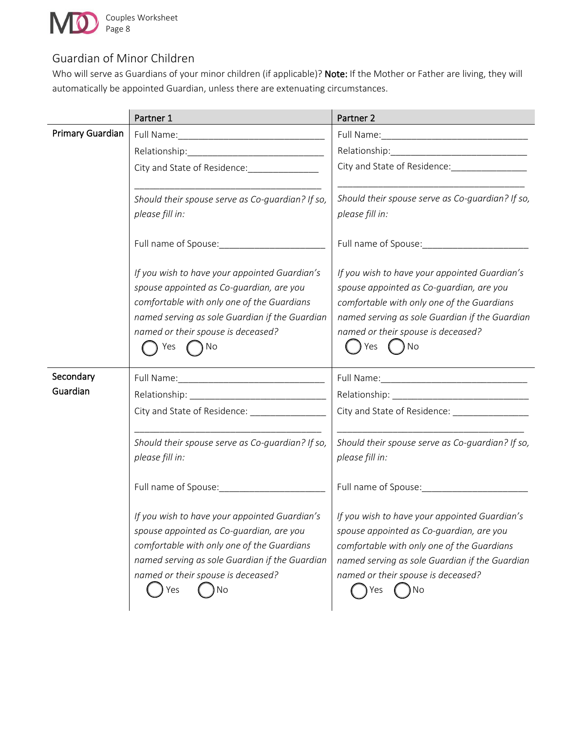

l,

 $\ddot{\phantom{a}}$ 

## Guardian of Minor Children

Who will serve as Guardians of your minor children (if applicable)? Note: If the Mother or Father are living, they will automatically be appointed Guardian, unless there are extenuating circumstances.

|                  | Partner 1                                                               | Partner 2                                        |
|------------------|-------------------------------------------------------------------------|--------------------------------------------------|
| Primary Guardian |                                                                         |                                                  |
|                  |                                                                         |                                                  |
|                  | City and State of Residence: [19] District City and State of Residence: | City and State of Residence:                     |
|                  |                                                                         |                                                  |
|                  | Should their spouse serve as Co-guardian? If so,                        | Should their spouse serve as Co-guardian? If so, |
|                  | please fill in:                                                         | please fill in:                                  |
|                  | Full name of Spouse: Name of Spouse:                                    |                                                  |
|                  | If you wish to have your appointed Guardian's                           | If you wish to have your appointed Guardian's    |
|                  | spouse appointed as Co-guardian, are you                                | spouse appointed as Co-guardian, are you         |
|                  | comfortable with only one of the Guardians                              | comfortable with only one of the Guardians       |
|                  | named serving as sole Guardian if the Guardian                          | named serving as sole Guardian if the Guardian   |
|                  | named or their spouse is deceased?<br>Yes<br>) No                       | named or their spouse is deceased?<br>Yes<br>No  |
|                  |                                                                         |                                                  |
| Secondary        |                                                                         |                                                  |
| Guardian         |                                                                         |                                                  |
|                  | City and State of Residence: ___________________                        | City and State of Residence: ________________    |
|                  |                                                                         |                                                  |
|                  | Should their spouse serve as Co-guardian? If so,                        | Should their spouse serve as Co-guardian? If so, |
|                  | please fill in:                                                         | please fill in:                                  |
|                  |                                                                         |                                                  |
|                  | If you wish to have your appointed Guardian's                           | If you wish to have your appointed Guardian's    |
|                  | spouse appointed as Co-guardian, are you                                | spouse appointed as Co-guardian, are you         |
|                  | comfortable with only one of the Guardians                              | comfortable with only one of the Guardians       |
|                  | named serving as sole Guardian if the Guardian                          | named serving as sole Guardian if the Guardian   |
|                  | named or their spouse is deceased?                                      | named or their spouse is deceased?               |
|                  | No<br>Yes                                                               | No<br>Yes                                        |
|                  |                                                                         |                                                  |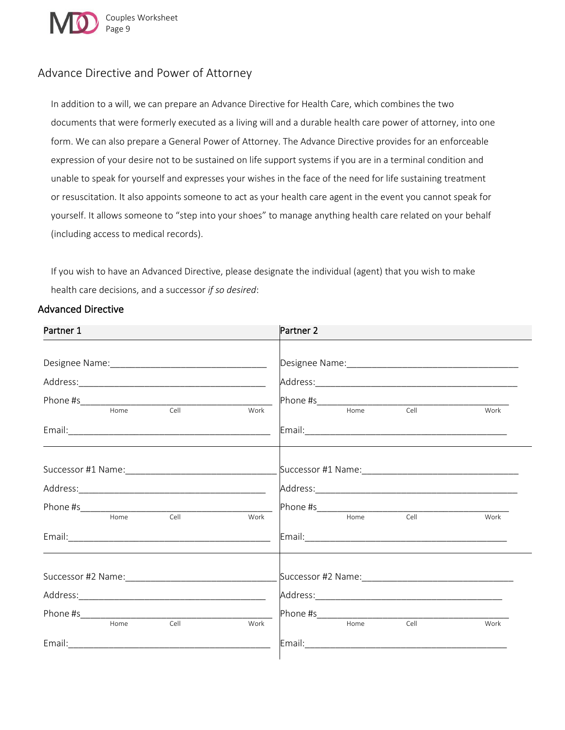

## Advance Directive and Power of Attorney

In addition to a will, we can prepare an Advance Directive for Health Care, which combines the two documents that were formerly executed as a living will and a durable health care power of attorney, into one form. We can also prepare a General Power of Attorney. The Advance Directive provides for an enforceable expression of your desire not to be sustained on life support systems if you are in a terminal condition and unable to speak for yourself and expresses your wishes in the face of the need for life sustaining treatment or resuscitation. It also appoints someone to act as your health care agent in the event you cannot speak for yourself. It allows someone to "step into your shoes" to manage anything health care related on your behalf (including access to medical records).

If you wish to have an Advanced Directive, please designate the individual (agent) that you wish to make health care decisions, and a successor *if so desired*:

#### Advanced Directive

| Partner 1            | Partner 2            |
|----------------------|----------------------|
|                      | Work                 |
|                      |                      |
|                      | Work                 |
|                      |                      |
|                      |                      |
| Home<br>Cell<br>Work | Home<br>Cell<br>Work |
|                      |                      |